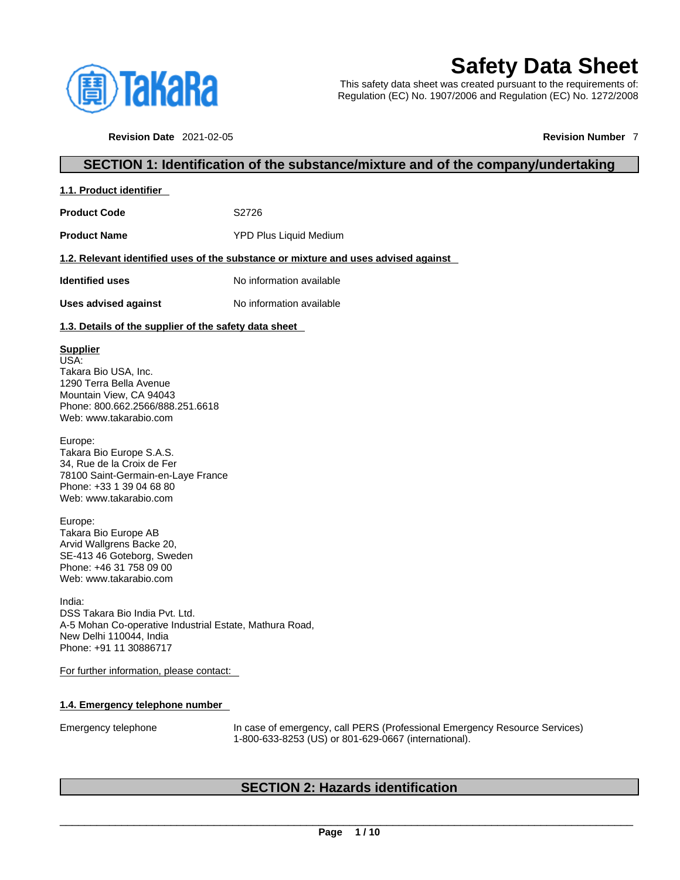

# **Safety Data Sheet**

This safety data sheet was created pursuant to the requirements of: Regulation (EC) No. 1907/2006 and Regulation (EC) No. 1272/2008

**Revision Date** 2021-02-05 **Revision Number** 7

## **SECTION 1: Identification of the substance/mixture and of the company/undertaking**

|--|

Product Code **S2726** 

**Product Name** YPD Plus Liquid Medium

## **1.2. Relevant identified uses of the substance or mixture and uses advised against**

**Identified uses** No information available

**Uses advised against** No information available

## **1.3. Details of the supplier of the safety data sheet**

## **Supplier**

USA: Takara Bio USA, Inc. 1290 Terra Bella Avenue Mountain View, CA 94043 Phone: 800.662.2566/888.251.6618 Web: www.takarabio.com

Europe: Takara Bio Europe S.A.S. 34, Rue de la Croix de Fer 78100 Saint-Germain-en-Laye France Phone: +33 1 39 04 68 80 Web: www.takarabio.com

Europe: Takara Bio Europe AB Arvid Wallgrens Backe 20, SE-413 46 Goteborg, Sweden Phone: +46 31 758 09 00 Web: www.takarabio.com

India: DSS Takara Bio India Pvt. Ltd. A-5 Mohan Co-operative Industrial Estate, Mathura Road, New Delhi 110044, India Phone: +91 11 30886717

For further information, please contact:

## **1.4. Emergency telephone number**

Emergency telephone In case of emergency, call PERS (Professional Emergency Resource Services) 1-800-633-8253 (US) or 801-629-0667 (international).

## **SECTION 2: Hazards identification**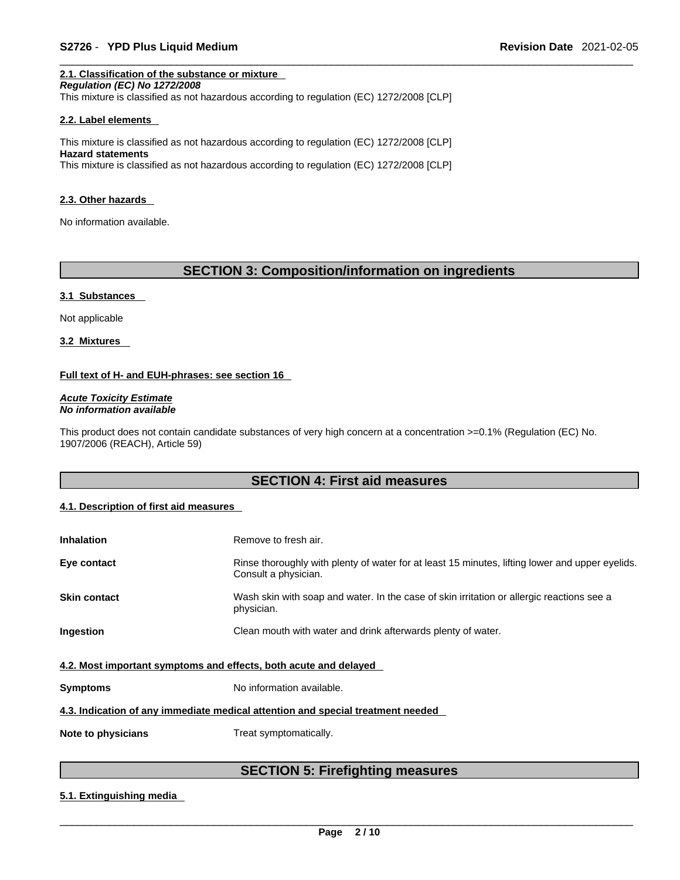## **2.1. Classification of the substance or mixture**

*Regulation (EC) No 1272/2008* 

This mixture is classified as not hazardous according to regulation (EC) 1272/2008 [CLP]

#### **2.2. Label elements**

This mixture is classified as not hazardous according to regulation (EC) 1272/2008 [CLP] **Hazard statements** This mixture is classified as not hazardous according to regulation (EC) 1272/2008 [CLP]

#### **2.3. Other hazards**

No information available.

## **SECTION 3: Composition/information on ingredients**

#### **3.1 Substances**

Not applicable

**3.2 Mixtures** 

#### **Full text of H- and EUH-phrases: see section 16**

*Acute Toxicity Estimate No information available* 

This product does not contain candidate substances of very high concern at a concentration >=0.1% (Regulation (EC) No. 1907/2006 (REACH), Article 59)

## **SECTION 4: First aid measures**

## **4.1. Description of first aid measures**

| <b>Inhalation</b>                                                | Remove to fresh air.                                                                                                    |
|------------------------------------------------------------------|-------------------------------------------------------------------------------------------------------------------------|
| Eye contact                                                      | Rinse thoroughly with plenty of water for at least 15 minutes, lifting lower and upper eyelids.<br>Consult a physician. |
| <b>Skin contact</b>                                              | Wash skin with soap and water. In the case of skin irritation or allergic reactions see a<br>physician.                 |
| Ingestion                                                        | Clean mouth with water and drink afterwards plenty of water.                                                            |
| 4.2. Most important symptoms and effects, both acute and delayed |                                                                                                                         |
| <b>Symptoms</b>                                                  | No information available.                                                                                               |
|                                                                  | 4.3. Indication of any immediate medical attention and special treatment needed                                         |
| Note to physicians                                               | Treat symptomatically.                                                                                                  |

## **SECTION 5: Firefighting measures**

#### **5.1. Extinguishing media**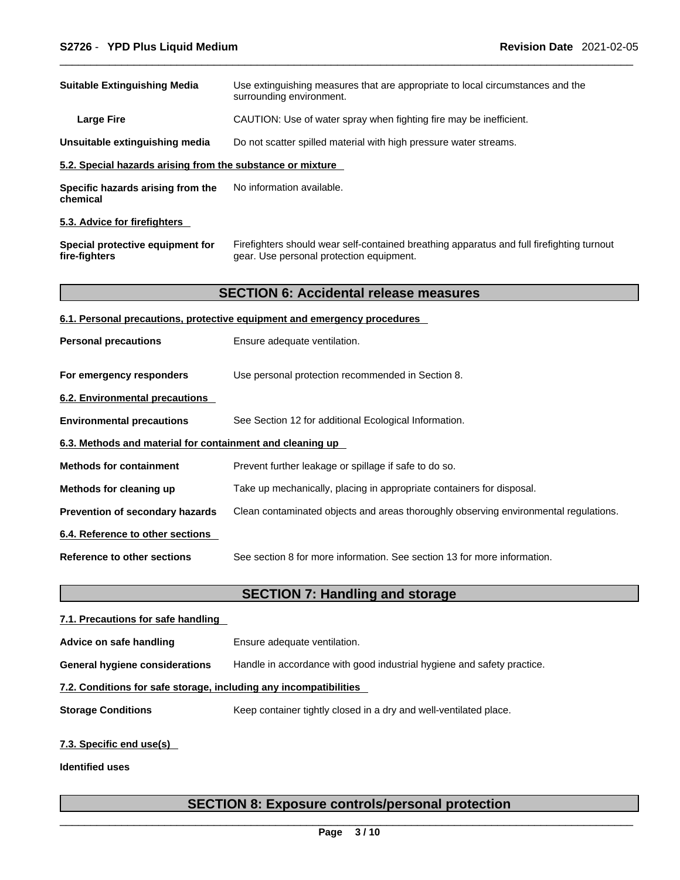| <b>Suitable Extinguishing Media</b>                        | Use extinguishing measures that are appropriate to local circumstances and the<br>surrounding environment.                            |
|------------------------------------------------------------|---------------------------------------------------------------------------------------------------------------------------------------|
| <b>Large Fire</b>                                          | CAUTION: Use of water spray when fighting fire may be inefficient.                                                                    |
| Unsuitable extinguishing media                             | Do not scatter spilled material with high pressure water streams.                                                                     |
| 5.2. Special hazards arising from the substance or mixture |                                                                                                                                       |
| Specific hazards arising from the<br>chemical              | No information available.                                                                                                             |
| 5.3. Advice for firefighters                               |                                                                                                                                       |
| Special protective equipment for<br>fire-fighters          | Firefighters should wear self-contained breathing apparatus and full firefighting turnout<br>gear. Use personal protection equipment. |
|                                                            | <b>SECTION 6: Accidental release measures</b>                                                                                         |
|                                                            | 6.1. Personal precautions, protective equipment and emergency procedures                                                              |
| <b>Personal precautions</b>                                | Ensure adequate ventilation.                                                                                                          |
| For emergency responders                                   | Use personal protection recommended in Section 8.                                                                                     |
| 6.2. Environmental precautions                             |                                                                                                                                       |
| <b>Environmental precautions</b>                           | See Section 12 for additional Ecological Information.                                                                                 |
| 6.3. Methods and material for containment and cleaning up  |                                                                                                                                       |
| <b>Methods for containment</b>                             | Prevent further leakage or spillage if safe to do so.                                                                                 |
| Methods for cleaning up                                    | Take up mechanically, placing in appropriate containers for disposal.                                                                 |
| Prevention of secondary hazards                            | Clean contaminated objects and areas thoroughly observing environmental regulations.                                                  |
| 6.4. Reference to other sections                           |                                                                                                                                       |
| <b>Reference to other sections</b>                         | See section 8 for more information. See section 13 for more information.                                                              |
|                                                            | <b>SECTION 7: Handling and storage</b>                                                                                                |
| 7.1. Precautions for safe handling                         |                                                                                                                                       |
| Advice on safe handling                                    | Ensure adequate ventilation.                                                                                                          |

**General hygiene considerations** Handle in accordance with good industrial hygiene and safety practice.

## **7.2. Conditions for safe storage, including any incompatibilities**

**Storage Conditions** Keep container tightly closed in a dry and well-ventilated place.

## **7.3. Specific end use(s)**

**Identified uses**

## **SECTION 8: Exposure controls/personal protection**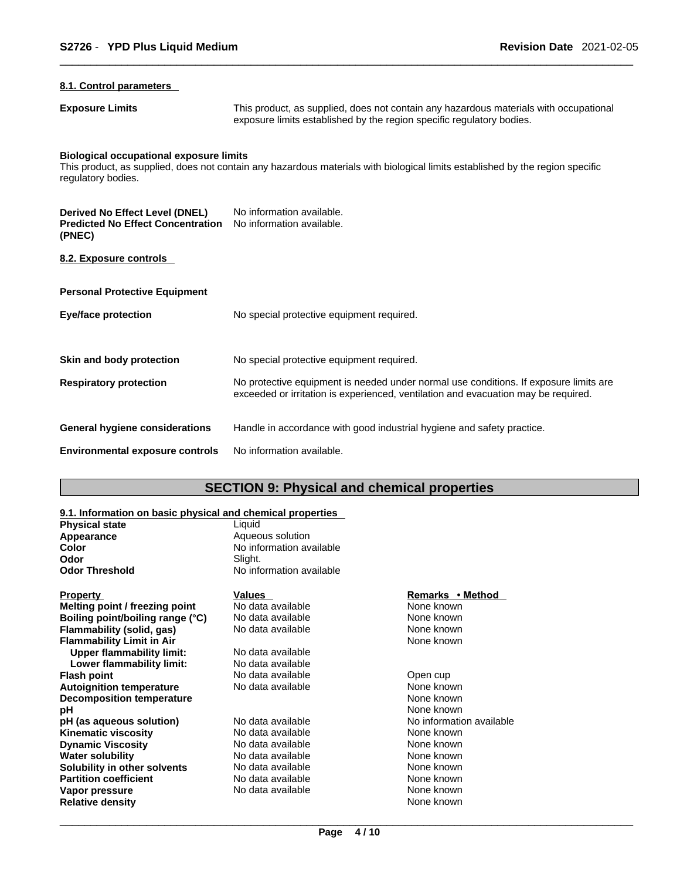## **8.1. Control parameters**

**Exposure Limits** This product, as supplied, does not contain any hazardous materials with occupational exposure limits established by the region specific regulatory bodies.

## **Biological occupational exposure limits**

This product, as supplied, does not contain any hazardous materials with biological limits established by the region specific regulatory bodies.

| Derived No Effect Level (DNEL)<br><b>Predicted No Effect Concentration</b><br>(PNEC) | No information available.<br>No information available.                                                                                                                      |
|--------------------------------------------------------------------------------------|-----------------------------------------------------------------------------------------------------------------------------------------------------------------------------|
| 8.2. Exposure controls                                                               |                                                                                                                                                                             |
| <b>Personal Protective Equipment</b>                                                 |                                                                                                                                                                             |
| Eye/face protection                                                                  | No special protective equipment required.                                                                                                                                   |
| Skin and body protection                                                             | No special protective equipment required.                                                                                                                                   |
| <b>Respiratory protection</b>                                                        | No protective equipment is needed under normal use conditions. If exposure limits are<br>exceeded or irritation is experienced, ventilation and evacuation may be required. |
| General hygiene considerations                                                       | Handle in accordance with good industrial hygiene and safety practice.                                                                                                      |
| <b>Environmental exposure controls</b>                                               | No information available.                                                                                                                                                   |

## **SECTION 9: Physical and chemical properties**

## **9.1. Information on basic physical and chemical properties**

| <b>Physical state</b>            | Liquid                   |                          |
|----------------------------------|--------------------------|--------------------------|
| Appearance                       | Aqueous solution         |                          |
| Color                            | No information available |                          |
| Odor                             | Slight.                  |                          |
| Odor Threshold                   | No information available |                          |
| <u>Property</u>                  | Values                   | Remarks • Method         |
| Melting point / freezing point   | No data available        | None known               |
| Boiling point/boiling range (°C) | No data available        | None known               |
| Flammability (solid, gas)        | No data available        | None known               |
| <b>Flammability Limit in Air</b> |                          | None known               |
| <b>Upper flammability limit:</b> | No data available        |                          |
| Lower flammability limit:        | No data available        |                          |
| Flash point                      | No data available        | Open cup                 |
| <b>Autoignition temperature</b>  | No data available        | None known               |
| <b>Decomposition temperature</b> |                          | None known               |
| рH                               |                          | None known               |
| pH (as aqueous solution)         | No data available        | No information available |
| Kinematic viscosity              | No data available        | None known               |
| <b>Dynamic Viscosity</b>         | No data available        | None known               |
| Water solubility                 | No data available        | None known               |
| Solubility in other solvents     | No data available        | None known               |
| <b>Partition coefficient</b>     | No data available        | None known               |
| Vapor pressure                   | No data available        | None known               |
| Relative density                 |                          | None known               |
|                                  |                          |                          |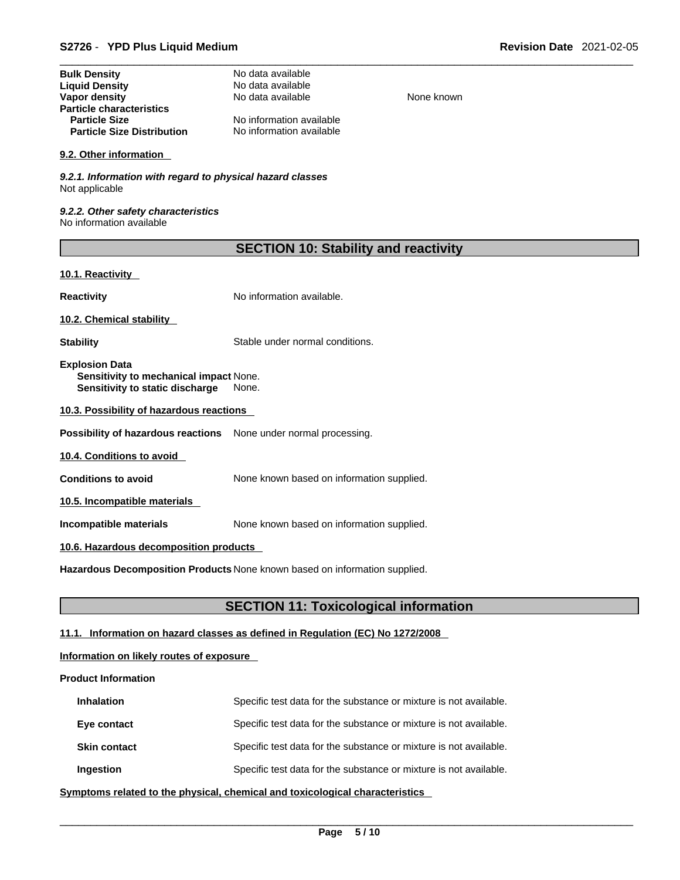| <b>Bulk Density</b>               | No data available        |
|-----------------------------------|--------------------------|
| <b>Liquid Density</b>             | No data available        |
| Vapor density                     | No data available        |
| <b>Particle characteristics</b>   |                          |
| <b>Particle Size</b>              | No information available |
| <b>Particle Size Distribution</b> | No information available |

#### **9.2. Other information**

*9.2.1. Information with regard to physical hazard classes* Not applicable

*9.2.2. Other safety characteristics* No information available

| <b>SECTION 10: Stability and reactivity</b> |  |
|---------------------------------------------|--|
|---------------------------------------------|--|

**None known** 

## **10.1. Reactivity**

**Reactivity No information available.** 

**10.2. Chemical stability** 

**Stability** Stable under normal conditions.

**Explosion Data Sensitivity to mechanical impact** None. **Sensitivity to static discharge** None.

**10.3. Possibility of hazardous reactions**

**Possibility of hazardous reactions** None under normal processing.

**10.4. Conditions to avoid** 

**Conditions to avoid** None known based on information supplied.

**10.5. Incompatible materials**

**Incompatible materials** None known based on information supplied.

### **10.6. Hazardous decomposition products**

**Hazardous Decomposition Products** None known based on information supplied.

## **SECTION 11: Toxicological information**

## **11.1. Information on hazard classes as defined in Regulation (EC) No 1272/2008**

## **Information on likely routes of exposure**

## **Product Information**

| <b>Inhalation</b>   | Specific test data for the substance or mixture is not available. |
|---------------------|-------------------------------------------------------------------|
| Eye contact         | Specific test data for the substance or mixture is not available. |
| <b>Skin contact</b> | Specific test data for the substance or mixture is not available. |
| Ingestion           | Specific test data for the substance or mixture is not available. |

**<u>Symptoms related to the physical, chemical and toxicological characteristics</u>**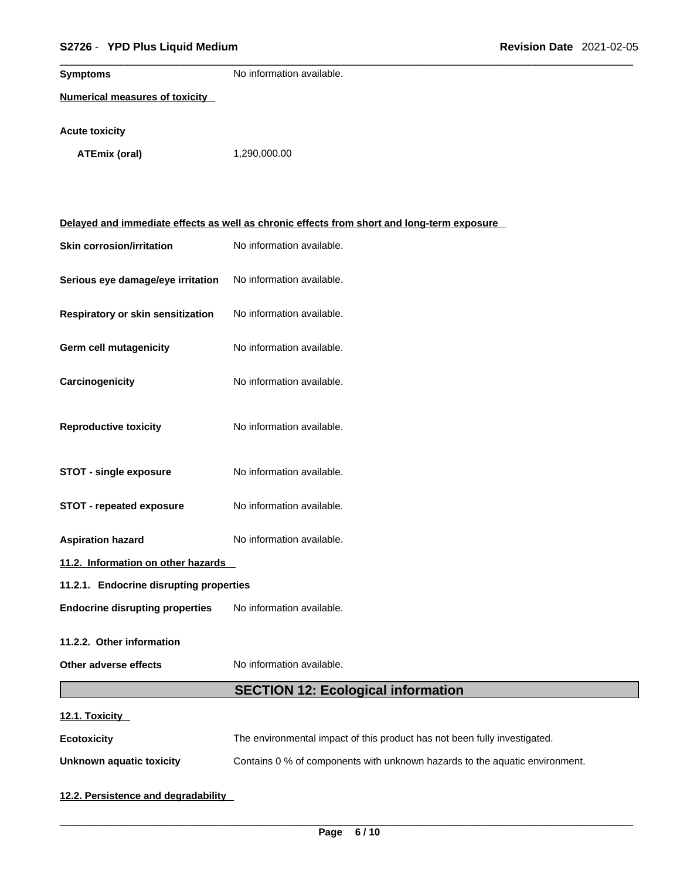## \_\_\_\_\_\_\_\_\_\_\_\_\_\_\_\_\_\_\_\_\_\_\_\_\_\_\_\_\_\_\_\_\_\_\_\_\_\_\_\_\_\_\_\_\_\_\_\_\_\_\_\_\_\_\_\_\_\_\_\_\_\_\_\_\_\_\_\_\_\_\_\_\_\_\_\_\_\_\_\_\_\_\_\_\_\_\_\_\_\_\_\_\_ **S2726** - **YPD Plus Liquid Medium Revision Date** 2021-02-05

| <b>Symptoms</b>                         | No information available.                                                                  |  |
|-----------------------------------------|--------------------------------------------------------------------------------------------|--|
| <b>Numerical measures of toxicity</b>   |                                                                                            |  |
| <b>Acute toxicity</b>                   |                                                                                            |  |
| <b>ATEmix (oral)</b>                    | 1,290,000.00                                                                               |  |
|                                         |                                                                                            |  |
|                                         |                                                                                            |  |
|                                         | Delayed and immediate effects as well as chronic effects from short and long-term exposure |  |
|                                         |                                                                                            |  |
| <b>Skin corrosion/irritation</b>        | No information available.                                                                  |  |
| Serious eye damage/eye irritation       | No information available.                                                                  |  |
|                                         |                                                                                            |  |
| Respiratory or skin sensitization       | No information available.                                                                  |  |
| Germ cell mutagenicity                  | No information available.                                                                  |  |
|                                         |                                                                                            |  |
| Carcinogenicity                         | No information available.                                                                  |  |
|                                         |                                                                                            |  |
| <b>Reproductive toxicity</b>            | No information available.                                                                  |  |
|                                         |                                                                                            |  |
| <b>STOT - single exposure</b>           | No information available.                                                                  |  |
| <b>STOT - repeated exposure</b>         | No information available.                                                                  |  |
|                                         |                                                                                            |  |
| <b>Aspiration hazard</b>                | No information available.                                                                  |  |
| 11.2. Information on other hazards      |                                                                                            |  |
| 11.2.1. Endocrine disrupting properties |                                                                                            |  |
| <b>Endocrine disrupting properties</b>  | No information available.                                                                  |  |
| 11.2.2. Other information               |                                                                                            |  |
|                                         |                                                                                            |  |
| Other adverse effects                   | No information available.                                                                  |  |
|                                         | <b>SECTION 12: Ecological information</b>                                                  |  |
| 12.1. Toxicity                          |                                                                                            |  |
| <b>Ecotoxicity</b>                      | The environmental impact of this product has not been fully investigated.                  |  |
| <b>Unknown aquatic toxicity</b>         | Contains 0 % of components with unknown hazards to the aquatic environment.                |  |

**12.2. Persistence and degradability**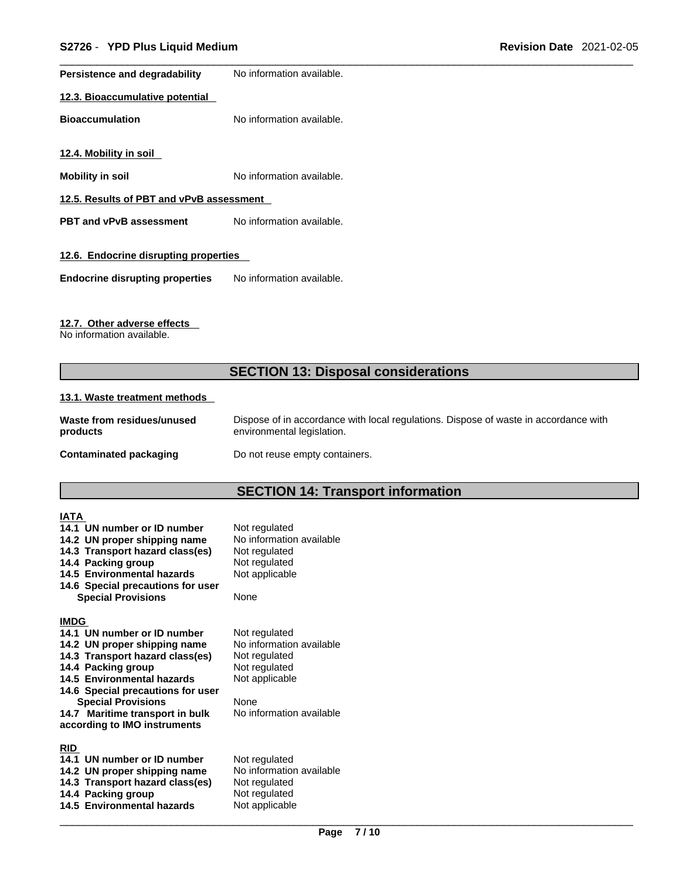| Persistence and degradability            | No information available. |  |
|------------------------------------------|---------------------------|--|
| 12.3. Bioaccumulative potential          |                           |  |
| <b>Bioaccumulation</b>                   | No information available. |  |
| 12.4. Mobility in soil                   |                           |  |
| <b>Mobility in soil</b>                  | No information available. |  |
| 12.5. Results of PBT and vPvB assessment |                           |  |
| <b>PBT and vPvB assessment</b>           | No information available. |  |
| 12.6. Endocrine disrupting properties    |                           |  |
| <b>Endocrine disrupting properties</b>   | No information available. |  |

## **12.7. Other adverse effects**

No information available.

## **SECTION 13: Disposal considerations**

## **13.1. Waste treatment methods**

| Waste from residues/unused | Dispose of in accordance with local regulations. Dispose of waste in accordance with |
|----------------------------|--------------------------------------------------------------------------------------|
| products                   | environmental legislation.                                                           |
| Contaminated packaging     | Do not reuse empty containers.                                                       |

## **SECTION 14: Transport information**

## **IATA**

| 14.1 UN number or ID number<br>14.2 UN proper shipping name<br>14.3 Transport hazard class(es)<br>14.4 Packing group<br><b>14.5 Environmental hazards</b><br>14.6 Special precautions for user<br><b>Special Provisions</b> | Not regulated<br>No information available<br>Not regulated<br>Not regulated<br>Not applicable<br>None |
|-----------------------------------------------------------------------------------------------------------------------------------------------------------------------------------------------------------------------------|-------------------------------------------------------------------------------------------------------|
| <b>IMDG</b>                                                                                                                                                                                                                 |                                                                                                       |
| 14.1 UN number or ID number                                                                                                                                                                                                 | Not regulated                                                                                         |
| 14.2 UN proper shipping name                                                                                                                                                                                                | No information available                                                                              |
| 14.3 Transport hazard class(es)                                                                                                                                                                                             | Not regulated                                                                                         |
| 14.4 Packing group                                                                                                                                                                                                          | Not regulated                                                                                         |
| 14.5 Environmental hazards                                                                                                                                                                                                  | Not applicable                                                                                        |
| 14.6 Special precautions for user                                                                                                                                                                                           |                                                                                                       |
| <b>Special Provisions</b>                                                                                                                                                                                                   | None                                                                                                  |
| 14.7 Maritime transport in bulk                                                                                                                                                                                             | No information available                                                                              |
| according to IMO instruments                                                                                                                                                                                                |                                                                                                       |
| <b>RID</b>                                                                                                                                                                                                                  |                                                                                                       |
| 14.1 UN number or ID number                                                                                                                                                                                                 | Not regulated                                                                                         |
| 14.2 UN proper shipping name                                                                                                                                                                                                | No information available                                                                              |
| 14.3 Transport hazard class(es)                                                                                                                                                                                             | Not regulated                                                                                         |
| 14.4 Packing group                                                                                                                                                                                                          | Not regulated                                                                                         |
| 14.5 Environmental hazards                                                                                                                                                                                                  | Not applicable                                                                                        |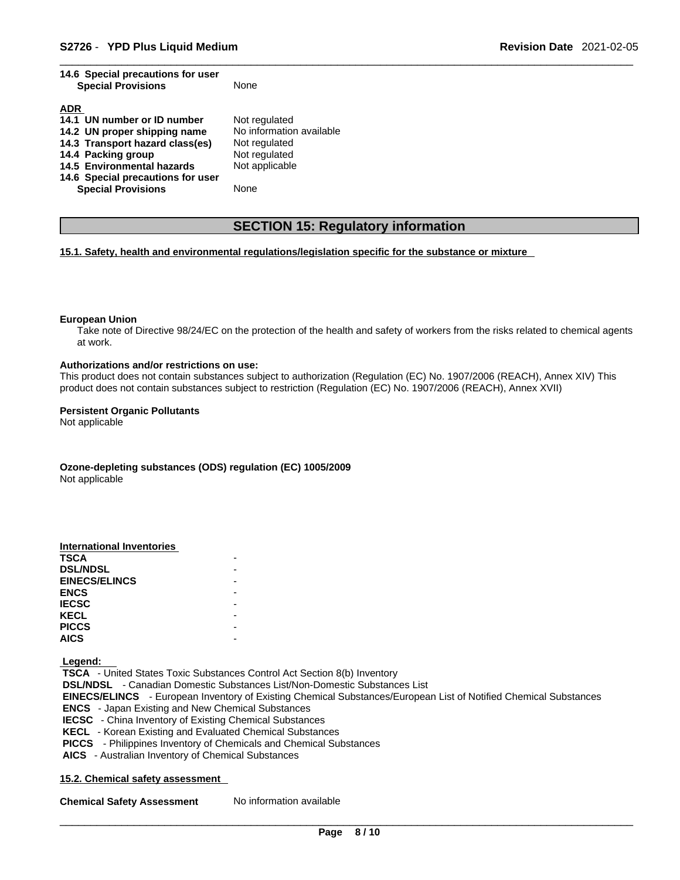**14.6 Special precautions for user** 

| 14.6 Special precautions for user<br><b>Special Provisions</b> | None                     |
|----------------------------------------------------------------|--------------------------|
| <b>ADR</b>                                                     |                          |
| 14.1 UN number or ID number                                    | Not regulated            |
| 14.2 UN proper shipping name                                   | No information available |
| 14.3 Transport hazard class(es)                                | Not regulated            |
| 14.4 Packing group                                             | Not regulated            |
| 14.5 Environmental hazards                                     | Not applicable           |
| 14.6 Special precautions for user                              |                          |
| <b>Special Provisions</b>                                      | None                     |
|                                                                |                          |

## **SECTION 15: Regulatory information**

**15.1. Safety, health and environmental regulations/legislation specific for the substance or mixture**

#### **European Union**

Take note of Directive 98/24/EC on the protection of the health and safety of workers from the risks related to chemical agents at work.

### **Authorizations and/or restrictions on use:**

This product does not contain substances subject to authorization (Regulation (EC) No. 1907/2006 (REACH), Annex XIV) This product does not contain substances subject to restriction (Regulation (EC) No. 1907/2006 (REACH), Annex XVII)

#### **Persistent Organic Pollutants**

Not applicable

#### **Ozone-depleting substances (ODS) regulation (EC) 1005/2009** Not applicable

#### **International Inventories**

| <b>TSCA</b>          |  |
|----------------------|--|
| <b>DSL/NDSL</b>      |  |
| <b>EINECS/ELINCS</b> |  |
| <b>ENCS</b>          |  |
| <b>IECSC</b>         |  |
| <b>KECL</b>          |  |
| <b>PICCS</b>         |  |
| <b>AICS</b>          |  |
|                      |  |

 **Legend:** 

 **TSCA** - United States Toxic Substances Control Act Section 8(b) Inventory  **DSL/NDSL** - Canadian Domestic Substances List/Non-Domestic Substances List  **EINECS/ELINCS** - European Inventory of Existing Chemical Substances/European List of Notified Chemical Substances  **ENCS** - Japan Existing and New Chemical Substances  **IECSC** - China Inventory of Existing Chemical Substances  **KECL** - Korean Existing and Evaluated Chemical Substances  **PICCS** - Philippines Inventory of Chemicals and Chemical Substances  **AICS** - Australian Inventory of Chemical Substances

#### **15.2. Chemical safety assessment**

**Chemical Safety Assessment** No information available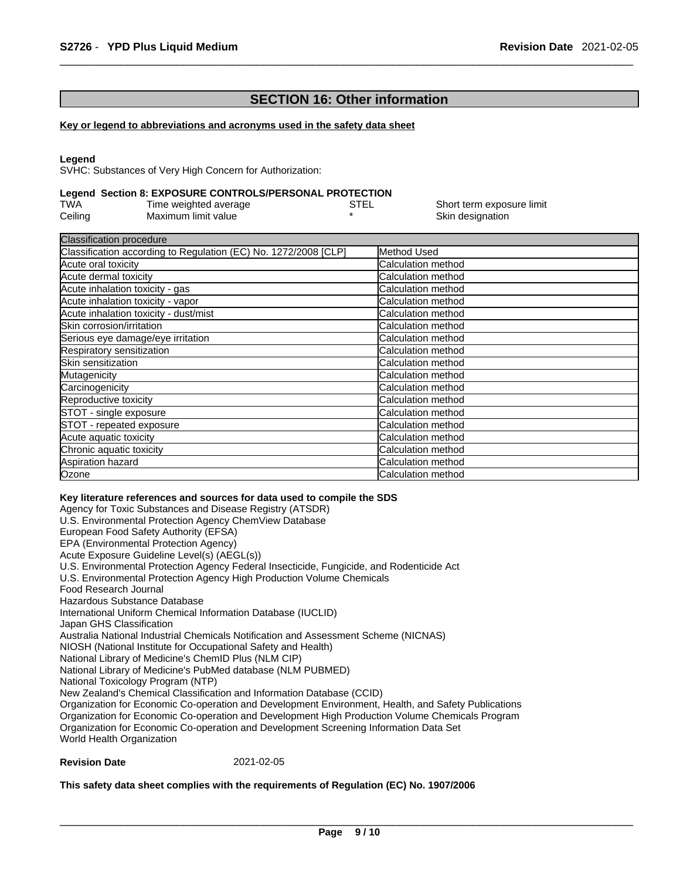## **SECTION 16: Other information**

#### **Key or legend to abbreviations and acronyms used in the safety data sheet**

#### **Legend**

SVHC: Substances of Very High Concern for Authorization:

#### **Legend Section 8: EXPOSURE CONTROLS/PERSONAL PROTECTION**

| TWA     | Time weighted average | STEL | Short term exposure limit |
|---------|-----------------------|------|---------------------------|
| Ceiling | Maximum limit value   |      | Skin designation          |

| <b>Classification procedure</b>                                 |                            |
|-----------------------------------------------------------------|----------------------------|
| Classification according to Regulation (EC) No. 1272/2008 [CLP] | Method Used                |
| Acute oral toxicity                                             | Calculation method         |
| Acute dermal toxicity                                           | Calculation method         |
| Acute inhalation toxicity - gas                                 | Calculation method         |
| Acute inhalation toxicity - vapor                               | Calculation method         |
| Acute inhalation toxicity - dust/mist                           | Calculation method         |
| Skin corrosion/irritation                                       | Calculation method         |
| Serious eye damage/eye irritation                               | <b>Calculation method</b>  |
| Respiratory sensitization                                       | Calculation method         |
| Skin sensitization                                              | Calculation method         |
| Mutagenicity                                                    | Calculation method         |
| Carcinogenicity                                                 | Calculation method         |
| Reproductive toxicity                                           | Calculation method         |
| STOT - single exposure                                          | Calculation method         |
| STOT - repeated exposure                                        | <b>Calculation method</b>  |
| Acute aquatic toxicity                                          | <b>ICalculation method</b> |
| Chronic aquatic toxicity                                        | Calculation method         |
| Aspiration hazard                                               | Calculation method         |
| Ozone                                                           | Calculation method         |

#### **Key literature references and sources for data used to compile the SDS**

Agency for Toxic Substances and Disease Registry (ATSDR) U.S. Environmental Protection Agency ChemView Database European Food Safety Authority (EFSA) EPA (Environmental Protection Agency) Acute Exposure Guideline Level(s) (AEGL(s)) U.S. Environmental Protection Agency Federal Insecticide, Fungicide, and Rodenticide Act U.S. Environmental Protection Agency High Production Volume Chemicals Food Research Journal Hazardous Substance Database International Uniform Chemical Information Database (IUCLID) Japan GHS Classification Australia National Industrial Chemicals Notification and Assessment Scheme (NICNAS) NIOSH (National Institute for Occupational Safety and Health) National Library of Medicine's ChemID Plus (NLM CIP) National Library of Medicine's PubMed database (NLM PUBMED) National Toxicology Program (NTP) New Zealand's Chemical Classification and Information Database (CCID) Organization for Economic Co-operation and Development Environment, Health, and Safety Publications Organization for Economic Co-operation and Development High Production Volume Chemicals Program Organization for Economic Co-operation and Development Screening Information Data Set World Health Organization

## **Revision Date** 2021-02-05

#### **This safety data sheet complies with the requirements of Regulation (EC) No. 1907/2006**